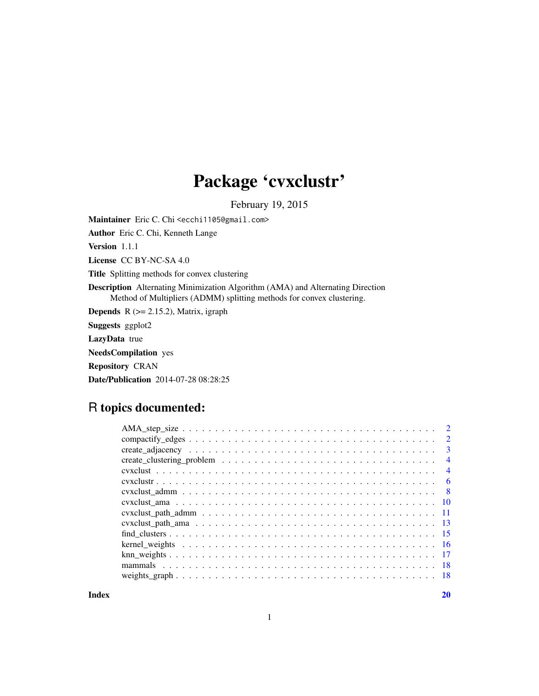# Package 'cvxclustr'

February 19, 2015

Maintainer Eric C. Chi <ecchi1105@gmail.com>

Author Eric C. Chi, Kenneth Lange

Version 1.1.1

License CC BY-NC-SA 4.0

Title Splitting methods for convex clustering

Description Alternating Minimization Algorithm (AMA) and Alternating Direction Method of Multipliers (ADMM) splitting methods for convex clustering.

**Depends** R  $(>= 2.15.2)$ , Matrix, igraph

Suggests ggplot2

LazyData true

NeedsCompilation yes

Repository CRAN

Date/Publication 2014-07-28 08:28:25

# R topics documented:

| $\overline{2}$ |
|----------------|
| $\mathbf{3}$   |
| $\overline{4}$ |
| $\overline{4}$ |
| - 6            |
| - 8            |
|                |
|                |
|                |
|                |
|                |
|                |
|                |
|                |
|                |

 $\bf 1$ ndex  $\bf 20$  $\bf 20$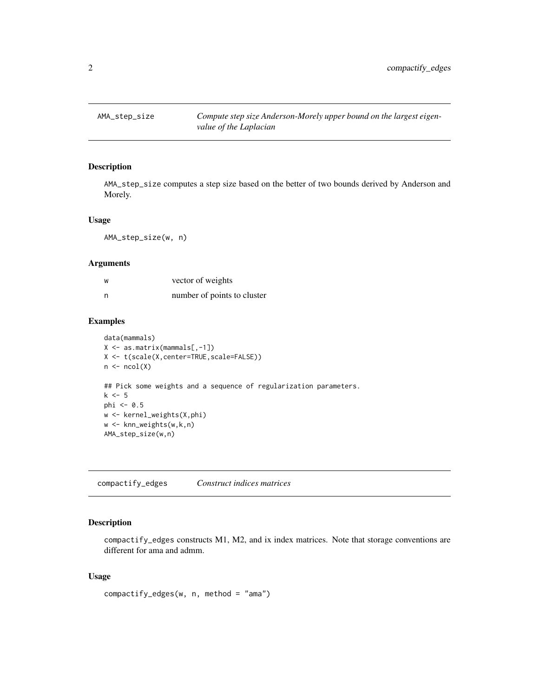<span id="page-1-0"></span>

AMA\_step\_size computes a step size based on the better of two bounds derived by Anderson and Morely.

#### Usage

AMA\_step\_size(w, n)

#### Arguments

| W | vector of weights           |
|---|-----------------------------|
| n | number of points to cluster |

#### Examples

```
data(mammals)
X <- as.matrix(mammals[,-1])
X <- t(scale(X,center=TRUE,scale=FALSE))
n \leftarrow \text{ncol}(X)## Pick some weights and a sequence of regularization parameters.
k \leq -5phi <- 0.5
w <- kernel_weights(X,phi)
w <- knn_weights(w,k,n)
AMA_step_size(w,n)
```
compactify\_edges *Construct indices matrices*

# Description

compactify\_edges constructs M1, M2, and ix index matrices. Note that storage conventions are different for ama and admm.

# Usage

```
compactify_edges(w, n, method = "ama")
```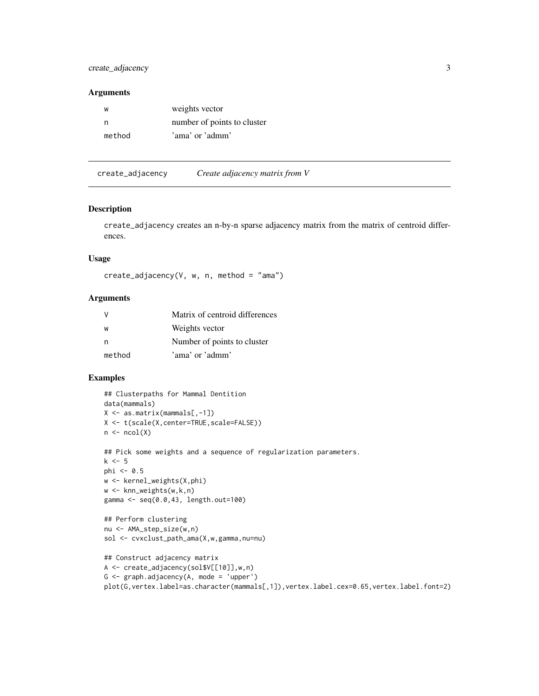<span id="page-2-0"></span>create\_adjacency 3

#### Arguments

| w      | weights vector              |
|--------|-----------------------------|
| n      | number of points to cluster |
| method | 'ama' or 'admm'             |

<span id="page-2-1"></span>create\_adjacency *Create adjacency matrix from V*

#### Description

create\_adjacency creates an n-by-n sparse adjacency matrix from the matrix of centroid differences.

# Usage

```
create\_adjacency(V, w, n, method = "ama")
```
#### Arguments

|        | Matrix of centroid differences |
|--------|--------------------------------|
| W      | Weights vector                 |
| n      | Number of points to cluster    |
| method | 'ama' or 'admm'                |

```
## Clusterpaths for Mammal Dentition
data(mammals)
X <- as.matrix(mammals[,-1])
X <- t(scale(X,center=TRUE,scale=FALSE))
n \leftarrow \text{ncol}(X)## Pick some weights and a sequence of regularization parameters.
k \leq -5phi \leq -0.5w <- kernel_weights(X,phi)
w <- knn_weights(w,k,n)
gamma <- seq(0.0,43, length.out=100)
## Perform clustering
nu <- AMA_step_size(w,n)
sol <- cvxclust_path_ama(X,w,gamma,nu=nu)
## Construct adjacency matrix
A <- create_adjacency(sol$V[[10]],w,n)
G \leq graph.adjacency(A, mode = 'upper')
```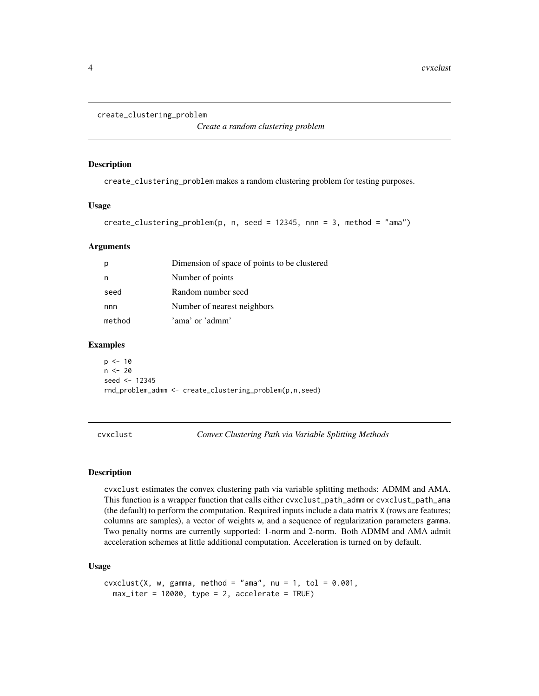```
create_clustering_problem
```
*Create a random clustering problem*

#### Description

create\_clustering\_problem makes a random clustering problem for testing purposes.

#### Usage

```
create_clustering_problem(p, n, seed = 12345, nnn = 3, method = "ama")
```
# Arguments

| р      | Dimension of space of points to be clustered |
|--------|----------------------------------------------|
| n      | Number of points                             |
| seed   | Random number seed                           |
| nnn    | Number of nearest neighbors                  |
| method | 'ama' or 'admm'                              |
|        |                                              |

#### Examples

 $p \le -10$  $n < - 20$ seed <- 12345 rnd\_problem\_admm <- create\_clustering\_problem(p,n,seed)

<span id="page-3-1"></span>cvxclust *Convex Clustering Path via Variable Splitting Methods*

#### Description

cvxclust estimates the convex clustering path via variable splitting methods: ADMM and AMA. This function is a wrapper function that calls either cvxclust\_path\_admm or cvxclust\_path\_ama (the default) to perform the computation. Required inputs include a data matrix X (rows are features; columns are samples), a vector of weights w, and a sequence of regularization parameters gamma. Two penalty norms are currently supported: 1-norm and 2-norm. Both ADMM and AMA admit acceleration schemes at little additional computation. Acceleration is turned on by default.

#### Usage

```
cvxclust(X, w, gamma, method = "ama", nu = 1, tol = 0.001,max\_iter = 10000, type = 2, accelerate = TRUE)
```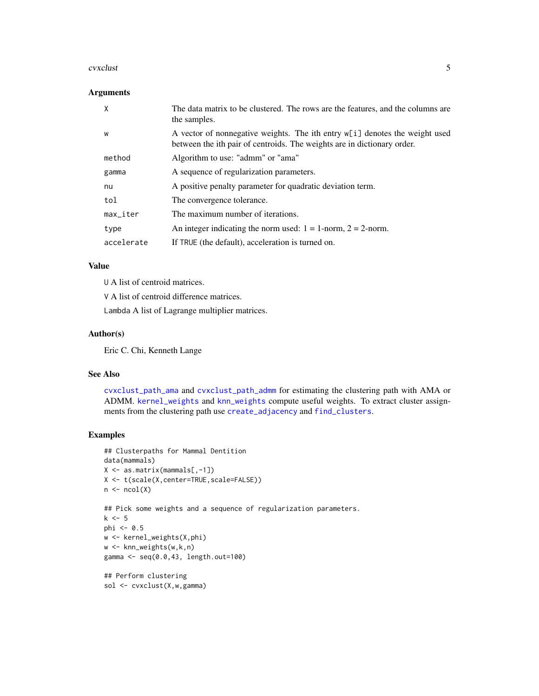#### <span id="page-4-0"></span>cvxclust 5

# Arguments

| x                      | The data matrix to be clustered. The rows are the features, and the columns are<br>the samples.                                                        |
|------------------------|--------------------------------------------------------------------------------------------------------------------------------------------------------|
| W                      | A vector of nonnegative weights. The ith entry w[i] denotes the weight used<br>between the ith pair of centroids. The weights are in dictionary order. |
| method                 | Algorithm to use: "admm" or "ama"                                                                                                                      |
| gamma                  | A sequence of regularization parameters.                                                                                                               |
| nu                     | A positive penalty parameter for quadratic deviation term.                                                                                             |
| tol                    | The convergence tolerance.                                                                                                                             |
| $max$ <sub>Liter</sub> | The maximum number of iterations.                                                                                                                      |
| type                   | An integer indicating the norm used: $1 = 1$ -norm, $2 = 2$ -norm.                                                                                     |
| accelerate             | If TRUE (the default), acceleration is turned on.                                                                                                      |

# Value

U A list of centroid matrices.

V A list of centroid difference matrices.

Lambda A list of Lagrange multiplier matrices.

#### Author(s)

Eric C. Chi, Kenneth Lange

# See Also

[cvxclust\\_path\\_ama](#page-12-1) and [cvxclust\\_path\\_admm](#page-10-1) for estimating the clustering path with AMA or ADMM. [kernel\\_weights](#page-15-1) and [knn\\_weights](#page-16-1) compute useful weights. To extract cluster assignments from the clustering path use [create\\_adjacency](#page-2-1) and [find\\_clusters](#page-14-1).

```
## Clusterpaths for Mammal Dentition
data(mammals)
X <- as.matrix(mammals[,-1])
X <- t(scale(X,center=TRUE,scale=FALSE))
n \leftarrow \text{ncol}(X)## Pick some weights and a sequence of regularization parameters.
k \leq -5phi \leq -0.5w <- kernel_weights(X,phi)
w <- knn_weights(w,k,n)
gamma <- seq(0.0,43, length.out=100)
## Perform clustering
sol <- cvxclust(X,w,gamma)
```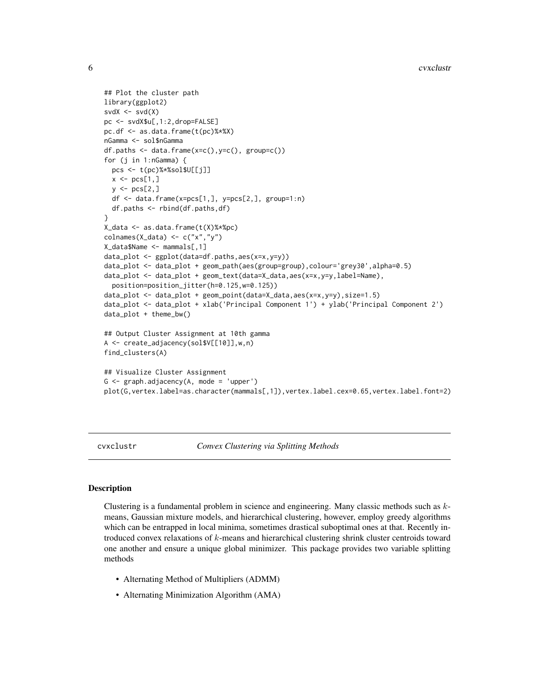```
## Plot the cluster path
library(ggplot2)
svdX \leftarrow svd(X)pc <- svdX$u[,1:2,drop=FALSE]
pc.df <- as.data.frame(t(pc)%*%X)
nGamma <- sol$nGamma
df.paths <- data.frame(x=c(),y=c(), group=c())
for (j in 1:nGamma) {
 pcs <- t(pc)%*%sol$U[[j]]
 x \leftarrow pcs[1,]y \leftarrow \text{pcs}[2,]df <- data.frame(x=pcs[1,], y=pcs[2,], group=1:n)
 df.paths <- rbind(df.paths,df)
}
X_data <- as.data.frame(t(X)%*%pc)
colnames(X_data) <- c("x","y")
X_data$Name <- mammals[,1]
data_plot <- ggplot(data=df.paths,aes(x=x,y=y))
data_plot <- data_plot + geom_path(aes(group=group),colour='grey30',alpha=0.5)
data_plot <- data_plot + geom_text(data=X_data,aes(x=x,y=y,label=Name),
 position=position_jitter(h=0.125,w=0.125))
data_plot <- data_plot + geom_point(data=X_data,aes(x=x,y=y),size=1.5)
data_plot <- data_plot + xlab('Principal Component 1') + ylab('Principal Component 2')
data_plot + theme_bw()
## Output Cluster Assignment at 10th gamma
A <- create_adjacency(sol$V[[10]],w,n)
find_clusters(A)
## Visualize Cluster Assignment
G \leq - graph.adjacency(A, mode = 'upper')
plot(G,vertex.label=as.character(mammals[,1]),vertex.label.cex=0.65,vertex.label.font=2)
```
cvxclustr *Convex Clustering via Splitting Methods*

# Description

Clustering is a fundamental problem in science and engineering. Many classic methods such as kmeans, Gaussian mixture models, and hierarchical clustering, however, employ greedy algorithms which can be entrapped in local minima, sometimes drastical suboptimal ones at that. Recently introduced convex relaxations of k-means and hierarchical clustering shrink cluster centroids toward one another and ensure a unique global minimizer. This package provides two variable splitting methods

- Alternating Method of Multipliers (ADMM)
- Alternating Minimization Algorithm (AMA)

<span id="page-5-0"></span>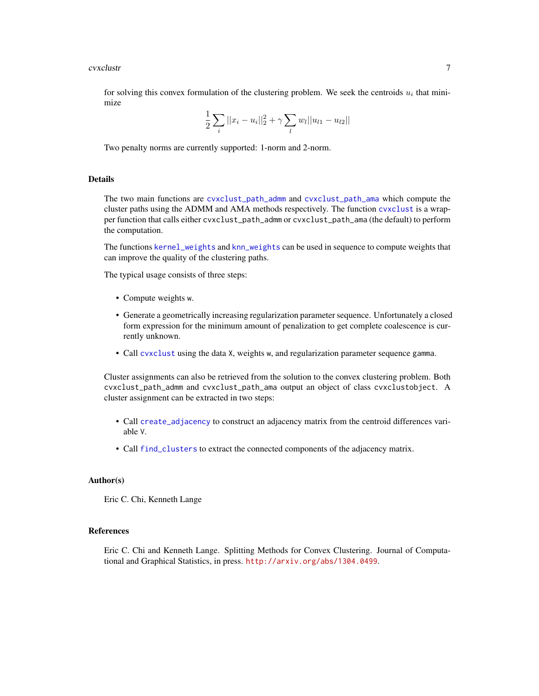#### <span id="page-6-0"></span>cvxclustr 7

for solving this convex formulation of the clustering problem. We seek the centroids  $u_i$  that minimize

$$
\frac{1}{2}\sum_{i}||x_i - u_i||_2^2 + \gamma \sum_{l} w_l||u_{l1} - u_{l2}||
$$

Two penalty norms are currently supported: 1-norm and 2-norm.

# Details

The two main functions are [cvxclust\\_path\\_admm](#page-10-1) and [cvxclust\\_path\\_ama](#page-12-1) which compute the cluster paths using the ADMM and AMA methods respectively. The function [cvxclust](#page-3-1) is a wrapper function that calls either cvxclust\_path\_admm or cvxclust\_path\_ama (the default) to perform the computation.

The functions [kernel\\_weights](#page-15-1) and [knn\\_weights](#page-16-1) can be used in sequence to compute weights that can improve the quality of the clustering paths.

The typical usage consists of three steps:

- Compute weights w.
- Generate a geometrically increasing regularization parameter sequence. Unfortunately a closed form expression for the minimum amount of penalization to get complete coalescence is currently unknown.
- Call [cvxclust](#page-3-1) using the data X, weights w, and regularization parameter sequence gamma.

Cluster assignments can also be retrieved from the solution to the convex clustering problem. Both cvxclust\_path\_admm and cvxclust\_path\_ama output an object of class cvxclustobject. A cluster assignment can be extracted in two steps:

- Call [create\\_adjacency](#page-2-1) to construct an adjacency matrix from the centroid differences variable V.
- Call [find\\_clusters](#page-14-1) to extract the connected components of the adjacency matrix.

#### Author(s)

Eric C. Chi, Kenneth Lange

#### References

Eric C. Chi and Kenneth Lange. Splitting Methods for Convex Clustering. Journal of Computational and Graphical Statistics, in press. <http://arxiv.org/abs/1304.0499>.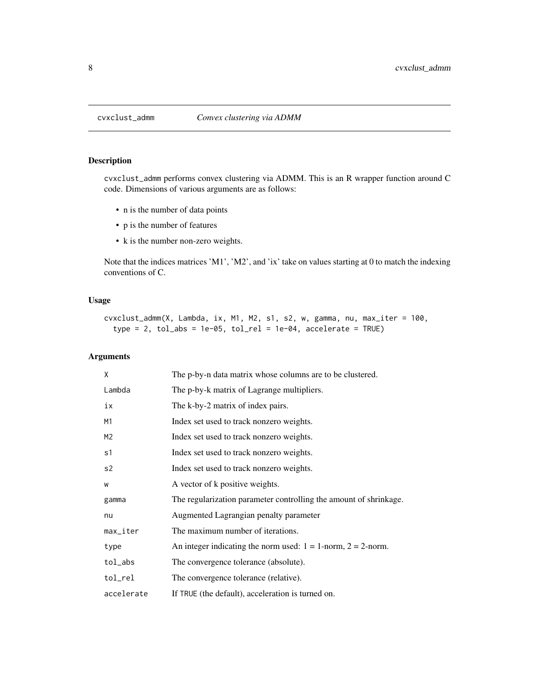<span id="page-7-0"></span>

cvxclust\_admm performs convex clustering via ADMM. This is an R wrapper function around C code. Dimensions of various arguments are as follows:

- n is the number of data points
- p is the number of features
- k is the number non-zero weights.

Note that the indices matrices 'M1', 'M2', and 'ix' take on values starting at 0 to match the indexing conventions of C.

# Usage

```
cvxclust_admm(X, Lambda, ix, M1, M2, s1, s2, w, gamma, nu, max_iter = 100,
  type = 2, tol_abs = 1e-05, tol_rel = 1e-04, accelerate = TRUE
```
# Arguments

| X              | The p-by-n data matrix whose columns are to be clustered.          |
|----------------|--------------------------------------------------------------------|
| Lambda         | The p-by-k matrix of Lagrange multipliers.                         |
| iх             | The k-by-2 matrix of index pairs.                                  |
| M1             | Index set used to track nonzero weights.                           |
| M <sub>2</sub> | Index set used to track nonzero weights.                           |
| s1             | Index set used to track nonzero weights.                           |
| s2             | Index set used to track nonzero weights.                           |
| W              | A vector of k positive weights.                                    |
| gamma          | The regularization parameter controlling the amount of shrinkage.  |
| nu             | Augmented Lagrangian penalty parameter                             |
| max_iter       | The maximum number of iterations.                                  |
| type           | An integer indicating the norm used: $1 = 1$ -norm, $2 = 2$ -norm. |
| tol_abs        | The convergence tolerance (absolute).                              |
| tol_rel        | The convergence tolerance (relative).                              |
| accelerate     | If TRUE (the default), acceleration is turned on.                  |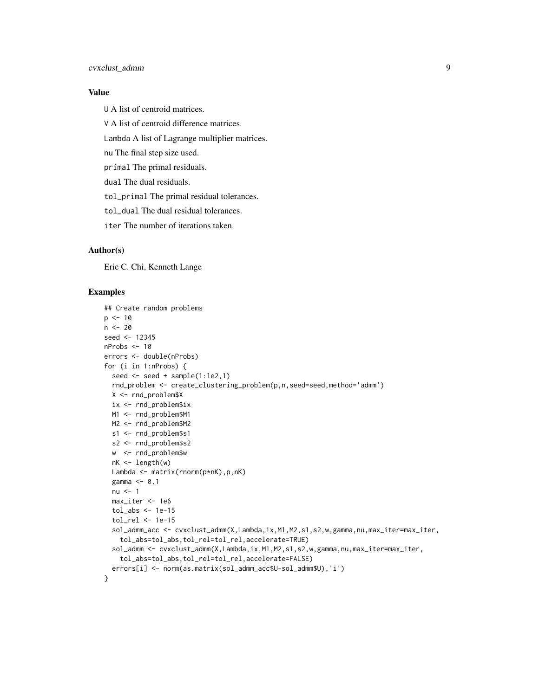# cvxclust\_admm 9

# Value

U A list of centroid matrices.

V A list of centroid difference matrices.

Lambda A list of Lagrange multiplier matrices.

nu The final step size used.

primal The primal residuals.

dual The dual residuals.

tol\_primal The primal residual tolerances.

tol\_dual The dual residual tolerances.

iter The number of iterations taken.

# Author(s)

Eric C. Chi, Kenneth Lange

```
## Create random problems
p \le -10n < -20seed <- 12345
nProbs <- 10
errors <- double(nProbs)
for (i in 1:nProbs) {
  seed <- seed + sample(1:1e2,1)
  rnd_problem <- create_clustering_problem(p,n,seed=seed,method='admm')
 X <- rnd_problem$X
  ix <- rnd_problem$ix
 M1 <- rnd_problem$M1
 M2 <- rnd_problem$M2
  s1 <- rnd_problem$s1
  s2 <- rnd_problem$s2
  w <- rnd_problem$w
  nK <- length(w)
  Lambda <- matrix(rnorm(p*nK),p,nK)
  gamma <- 0.1
  nu < -1max_iter <- 1e6
  tol_abs < -1e-15tol_rel <- 1e-15
  sol_admm_acc <- cvxclust_admm(X,Lambda,ix,M1,M2,s1,s2,w,gamma,nu,max_iter=max_iter,
   tol_abs=tol_abs,tol_rel=tol_rel,accelerate=TRUE)
  sol_admm <- cvxclust_admm(X,Lambda,ix,M1,M2,s1,s2,w,gamma,nu,max_iter=max_iter,
   tol_abs=tol_abs,tol_rel=tol_rel,accelerate=FALSE)
  errors[i] <- norm(as.matrix(sol_admm_acc$U-sol_admm$U),'i')
}
```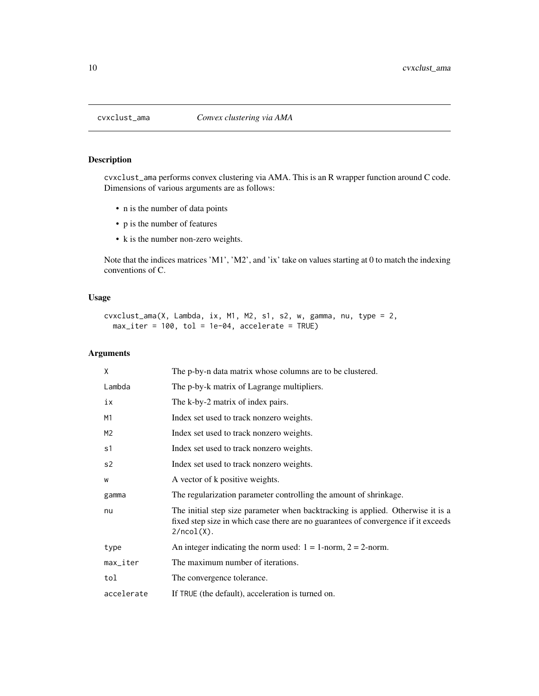<span id="page-9-0"></span>

cvxclust\_ama performs convex clustering via AMA. This is an R wrapper function around C code. Dimensions of various arguments are as follows:

- n is the number of data points
- p is the number of features
- k is the number non-zero weights.

Note that the indices matrices 'M1', 'M2', and 'ix' take on values starting at 0 to match the indexing conventions of C.

# Usage

```
cvxclust_ama(X, Lambda, ix, M1, M2, s1, s2, w, gamma, nu, type = 2,
 max\_iter = 100, tol = 1e-04, accelerate = TRUE)
```
# Arguments

| X              | The p-by-n data matrix whose columns are to be clustered.                                                                                                                              |
|----------------|----------------------------------------------------------------------------------------------------------------------------------------------------------------------------------------|
| Lambda         | The p-by-k matrix of Lagrange multipliers.                                                                                                                                             |
| iх             | The k-by-2 matrix of index pairs.                                                                                                                                                      |
| M1             | Index set used to track nonzero weights.                                                                                                                                               |
| M <sub>2</sub> | Index set used to track nonzero weights.                                                                                                                                               |
| s1             | Index set used to track nonzero weights.                                                                                                                                               |
| s2             | Index set used to track nonzero weights.                                                                                                                                               |
| W              | A vector of k positive weights.                                                                                                                                                        |
| gamma          | The regularization parameter controlling the amount of shrinkage.                                                                                                                      |
| nu             | The initial step size parameter when backtracking is applied. Otherwise it is a<br>fixed step size in which case there are no guarantees of convergence if it exceeds<br>$2/ncol(X)$ . |
| type           | An integer indicating the norm used: $1 = 1$ -norm, $2 = 2$ -norm.                                                                                                                     |
| max_iter       | The maximum number of iterations.                                                                                                                                                      |
| tol            | The convergence tolerance.                                                                                                                                                             |
| accelerate     | If TRUE (the default), acceleration is turned on.                                                                                                                                      |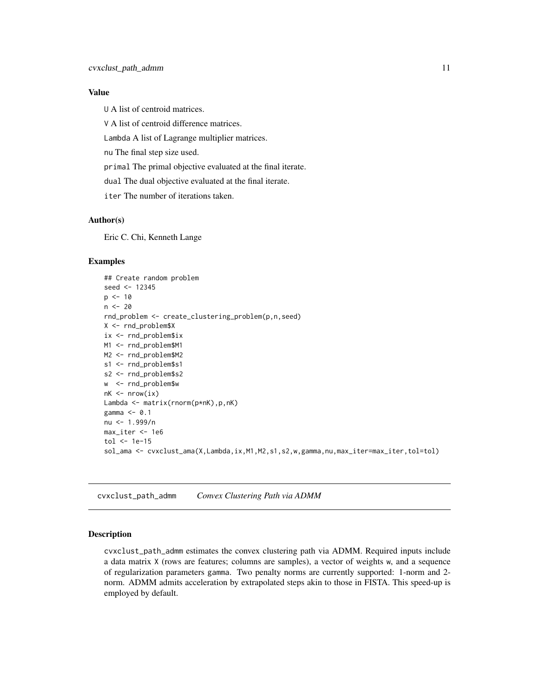# <span id="page-10-0"></span>Value

U A list of centroid matrices.

V A list of centroid difference matrices.

Lambda A list of Lagrange multiplier matrices.

nu The final step size used.

primal The primal objective evaluated at the final iterate.

dual The dual objective evaluated at the final iterate.

iter The number of iterations taken.

#### Author(s)

Eric C. Chi, Kenneth Lange

#### Examples

```
## Create random problem
seed <- 12345
p \le -10n < -20rnd_problem <- create_clustering_problem(p,n,seed)
X <- rnd_problem$X
ix <- rnd_problem$ix
M1 <- rnd_problem$M1
M2 <- rnd_problem$M2
s1 <- rnd_problem$s1
s2 <- rnd_problem$s2
w <- rnd_problem$w
nk \leq -nrow(ix)Lambda <- matrix(rnorm(p*nK),p,nK)
gamma <- 0.1
nu <- 1.999/n
max_iter <- 1e6
tol \leq 1e-15
sol_ama <- cvxclust_ama(X,Lambda,ix,M1,M2,s1,s2,w,gamma,nu,max_iter=max_iter,tol=tol)
```
<span id="page-10-1"></span>cvxclust\_path\_admm *Convex Clustering Path via ADMM*

#### Description

cvxclust\_path\_admm estimates the convex clustering path via ADMM. Required inputs include a data matrix X (rows are features; columns are samples), a vector of weights w, and a sequence of regularization parameters gamma. Two penalty norms are currently supported: 1-norm and 2 norm. ADMM admits acceleration by extrapolated steps akin to those in FISTA. This speed-up is employed by default.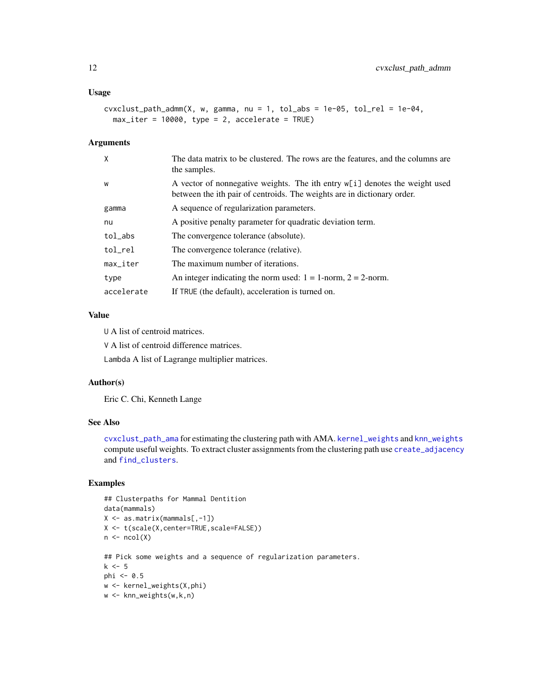# <span id="page-11-0"></span>Usage

```
cvxclust-path_admm(X, w, gamma, nu = 1, tol_abs = 1e-05, tol_rel = 1e-04,
 max_iter = 10000, type = 2, accelerate = TRUE)
```
#### Arguments

| $\mathsf{X}$           | The data matrix to be clustered. The rows are the features, and the columns are<br>the samples.                                                        |
|------------------------|--------------------------------------------------------------------------------------------------------------------------------------------------------|
| W                      | A vector of nonnegative weights. The ith entry w[i] denotes the weight used<br>between the ith pair of centroids. The weights are in dictionary order. |
| gamma                  | A sequence of regularization parameters.                                                                                                               |
| nu                     | A positive penalty parameter for quadratic deviation term.                                                                                             |
| tol_abs                | The convergence tolerance (absolute).                                                                                                                  |
| tol_rel                | The convergence tolerance (relative).                                                                                                                  |
| $max$ <sub>Liter</sub> | The maximum number of iterations.                                                                                                                      |
| type                   | An integer indicating the norm used: $1 = 1$ -norm, $2 = 2$ -norm.                                                                                     |
| accelerate             | If TRUE (the default), acceleration is turned on.                                                                                                      |

#### Value

U A list of centroid matrices.

V A list of centroid difference matrices.

Lambda A list of Lagrange multiplier matrices.

#### Author(s)

Eric C. Chi, Kenneth Lange

#### See Also

[cvxclust\\_path\\_ama](#page-12-1) for estimating the clustering path with AMA. [kernel\\_weights](#page-15-1) and [knn\\_weights](#page-16-1) compute useful weights. To extract cluster assignments from the clustering path use [create\\_adjacency](#page-2-1) and [find\\_clusters](#page-14-1).

```
## Clusterpaths for Mammal Dentition
data(mammals)
X <- as.matrix(mammals[,-1])
X <- t(scale(X,center=TRUE,scale=FALSE))
n \leftarrow \text{ncol}(X)## Pick some weights and a sequence of regularization parameters.
k \leq -5phi <- 0.5
w <- kernel_weights(X,phi)
w <- knn_weights(w,k,n)
```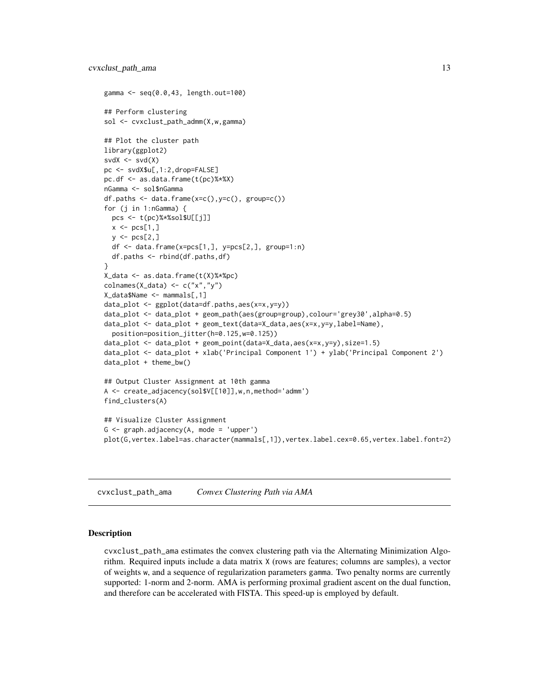```
gamma <- seq(0.0,43, length.out=100)
## Perform clustering
sol <- cvxclust_path_admm(X,w,gamma)
## Plot the cluster path
library(ggplot2)
svdX \leftarrow svd(X)pc <- svdX$u[,1:2,drop=FALSE]
pc.df <- as.data.frame(t(pc)%*%X)
nGamma <- sol$nGamma
df.paths <- data.frame(x=c(),y=c(), group=c())
for (j in 1:nGamma) {
  pcs <- t(pc)%*%sol$U[[j]]
  x \leftarrow pcs[1,]y \leftarrow pcs[2,]df <- data.frame(x=pcs[1,], y=pcs[2,], group=1:n)
  df.paths <- rbind(df.paths,df)
}
X_data <- as.data.frame(t(X)%*%pc)
colnames(X_data) <- c("x","y")
X_data$Name <- mammals[,1]
data_plot <- ggplot(data=df.paths,aes(x=x,y=y))
data_plot <- data_plot + geom_path(aes(group=group),colour='grey30',alpha=0.5)
data_plot <- data_plot + geom_text(data=X_data,aes(x=x,y=y,label=Name),
  position=position_jitter(h=0.125,w=0.125))
data_plot <- data_plot + geom_point(data=X_data,aes(x=x,y=y),size=1.5)
data_plot <- data_plot + xlab('Principal Component 1') + ylab('Principal Component 2')
data_plot + theme_bw()
## Output Cluster Assignment at 10th gamma
A <- create_adjacency(sol$V[[10]],w,n,method='admm')
find_clusters(A)
## Visualize Cluster Assignment
G <- graph.adjacency(A, mode = 'upper')
plot(G,vertex.label=as.character(mammals[,1]),vertex.label.cex=0.65,vertex.label.font=2)
```
<span id="page-12-1"></span>cvxclust\_path\_ama *Convex Clustering Path via AMA*

#### Description

cvxclust\_path\_ama estimates the convex clustering path via the Alternating Minimization Algorithm. Required inputs include a data matrix X (rows are features; columns are samples), a vector of weights w, and a sequence of regularization parameters gamma. Two penalty norms are currently supported: 1-norm and 2-norm. AMA is performing proximal gradient ascent on the dual function, and therefore can be accelerated with FISTA. This speed-up is employed by default.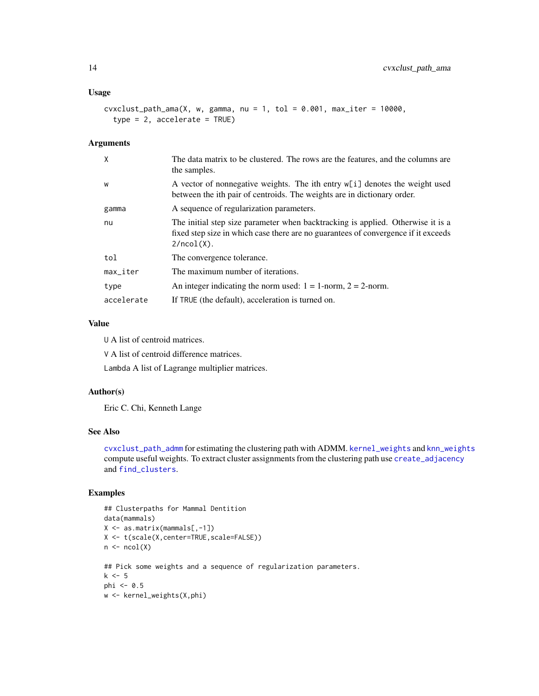# <span id="page-13-0"></span>Usage

```
cvxclust_path_name(X, w, gamma, nu = 1, tol = 0.001, max\_iter = 10000,type = 2, accelerate = TRUE)
```
#### Arguments

| X                         | The data matrix to be clustered. The rows are the features, and the columns are<br>the samples.                                                                                        |
|---------------------------|----------------------------------------------------------------------------------------------------------------------------------------------------------------------------------------|
| W                         | A vector of nonnegative weights. The ith entry $w[i]$ denotes the weight used<br>between the ith pair of centroids. The weights are in dictionary order.                               |
| gamma                     | A sequence of regularization parameters.                                                                                                                                               |
| nu                        | The initial step size parameter when backtracking is applied. Otherwise it is a<br>fixed step size in which case there are no guarantees of convergence if it exceeds<br>$2/ncol(X)$ . |
| tol                       | The convergence tolerance.                                                                                                                                                             |
| $max$ <sub>-</sub> $iter$ | The maximum number of iterations.                                                                                                                                                      |
| type                      | An integer indicating the norm used: $1 = 1$ -norm, $2 = 2$ -norm.                                                                                                                     |
| accelerate                | If TRUE (the default), acceleration is turned on.                                                                                                                                      |

# Value

U A list of centroid matrices.

V A list of centroid difference matrices.

Lambda A list of Lagrange multiplier matrices.

#### Author(s)

Eric C. Chi, Kenneth Lange

# See Also

[cvxclust\\_path\\_admm](#page-10-1) for estimating the clustering path with ADMM. [kernel\\_weights](#page-15-1) and [knn\\_weights](#page-16-1) compute useful weights. To extract cluster assignments from the clustering path use [create\\_adjacency](#page-2-1) and [find\\_clusters](#page-14-1).

```
## Clusterpaths for Mammal Dentition
data(mammals)
X <- as.matrix(mammals[,-1])
X <- t(scale(X,center=TRUE,scale=FALSE))
n \leftarrow \text{ncol}(X)## Pick some weights and a sequence of regularization parameters.
k <- 5
phi <- 0.5
w <- kernel_weights(X,phi)
```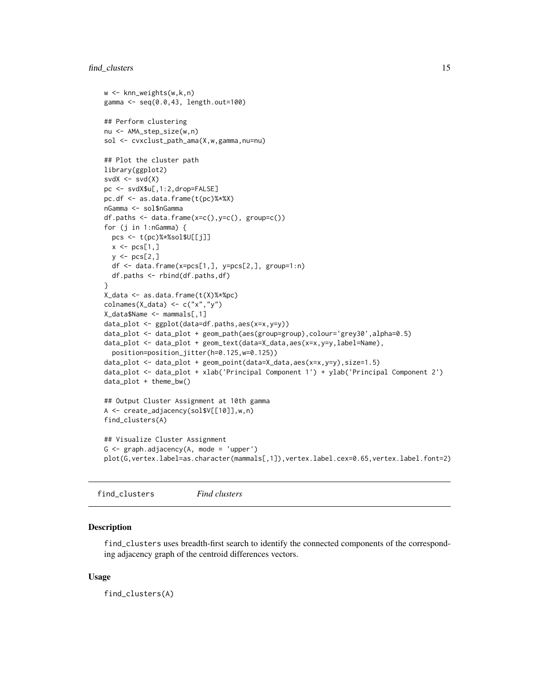#### <span id="page-14-0"></span>find\_clusters 15

```
w <- knn_weights(w,k,n)
gamma <- seq(0.0,43, length.out=100)
## Perform clustering
nu <- AMA_step_size(w,n)
sol <- cvxclust_path_ama(X,w,gamma,nu=nu)
## Plot the cluster path
library(ggplot2)
svdX \leftarrow svd(X)pc <- svdX$u[,1:2,drop=FALSE]
pc.df <- as.data.frame(t(pc)%*%X)
nGamma <- sol$nGamma
df.paths \leq data.frame(x=c(),y=c(), group=c())
for (j in 1:nGamma) {
  pcs <- t(pc)%*%sol$U[[j]]
 x \leftarrow pcs[1,]y \leftarrow \text{pcs}[2,]df <- data.frame(x=pcs[1,], y=pcs[2,], group=1:n)
  df.paths <- rbind(df.paths,df)
}
X_data <- as.data.frame(t(X)%*%pc)
colnames(X_data) <- c("x","y")
X_data$Name <- mammals[,1]
data_plot <- ggplot(data=df.paths,aes(x=x,y=y))
data_plot <- data_plot + geom_path(aes(group=group),colour='grey30',alpha=0.5)
data_plot <- data_plot + geom_text(data=X_data,aes(x=x,y=y,label=Name),
  position=position_jitter(h=0.125,w=0.125))
data_plot <- data_plot + geom_point(data=X_data,aes(x=x,y=y),size=1.5)
data_plot <- data_plot + xlab('Principal Component 1') + ylab('Principal Component 2')
data_plot + theme_bw()
## Output Cluster Assignment at 10th gamma
A <- create_adjacency(sol$V[[10]],w,n)
find_clusters(A)
## Visualize Cluster Assignment
G \leq - graph.adjacency(A, mode = 'upper')
plot(G,vertex.label=as.character(mammals[,1]),vertex.label.cex=0.65,vertex.label.font=2)
```
<span id="page-14-1"></span>find\_clusters *Find clusters*

# Description

find\_clusters uses breadth-first search to identify the connected components of the corresponding adjacency graph of the centroid differences vectors.

#### Usage

find\_clusters(A)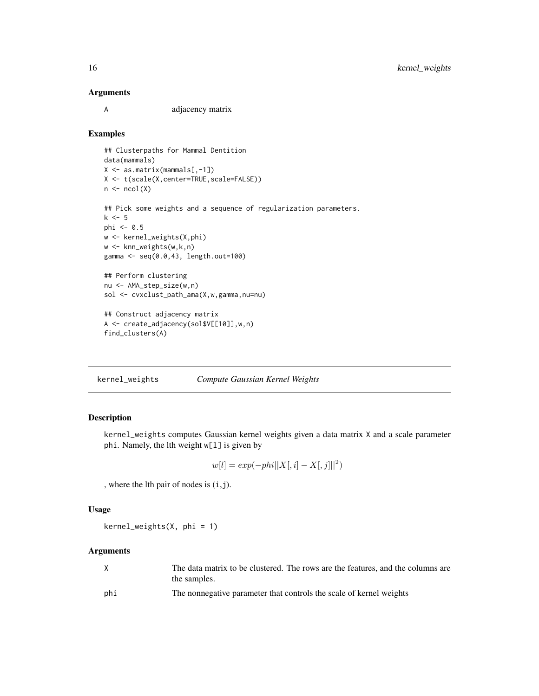#### <span id="page-15-0"></span>Arguments

A adjacency matrix

#### Examples

```
## Clusterpaths for Mammal Dentition
data(mammals)
X <- as.matrix(mammals[,-1])
X <- t(scale(X,center=TRUE,scale=FALSE))
n \leftarrow \text{ncol}(X)## Pick some weights and a sequence of regularization parameters.
k < -5phi <- 0.5
w <- kernel_weights(X,phi)
w <- knn_weights(w,k,n)
gamma <- seq(0.0,43, length.out=100)
## Perform clustering
nu <- AMA_step_size(w,n)
sol <- cvxclust_path_ama(X,w,gamma,nu=nu)
## Construct adjacency matrix
A <- create_adjacency(sol$V[[10]],w,n)
```
find\_clusters(A)

<span id="page-15-1"></span>kernel\_weights *Compute Gaussian Kernel Weights*

# Description

kernel\_weights computes Gaussian kernel weights given a data matrix X and a scale parameter phi. Namely, the lth weight w[l] is given by

$$
w[l] = exp(-phi||X[, i] - X[, j]||^{2})
$$

, where the lth pair of nodes is (i,j).

# Usage

kernel\_weights(X, phi = 1)

#### Arguments

|     | The data matrix to be clustered. The rows are the features, and the columns are |
|-----|---------------------------------------------------------------------------------|
|     | the samples.                                                                    |
| phi | The nonnegative parameter that controls the scale of kernel weights             |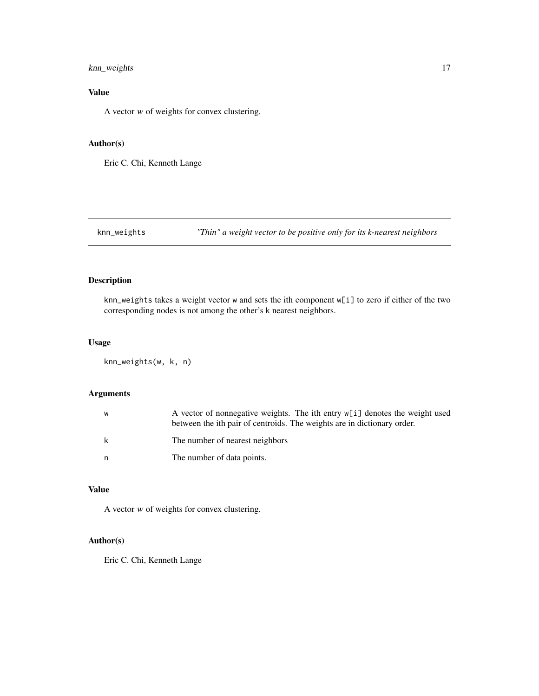# <span id="page-16-0"></span>knn\_weights 17

# Value

A vector w of weights for convex clustering.

#### Author(s)

Eric C. Chi, Kenneth Lange

<span id="page-16-1"></span>knn\_weights *"Thin" a weight vector to be positive only for its k-nearest neighbors*

# Description

knn\_weights takes a weight vector w and sets the ith component w[i] to zero if either of the two corresponding nodes is not among the other's k nearest neighbors.

# Usage

knn\_weights(w, k, n)

# Arguments

| W | A vector of nonnegative weights. The ith entry w[i] denotes the weight used<br>between the ith pair of centroids. The weights are in dictionary order. |
|---|--------------------------------------------------------------------------------------------------------------------------------------------------------|
| k | The number of nearest neighbors                                                                                                                        |
| n | The number of data points.                                                                                                                             |

# Value

A vector w of weights for convex clustering.

# Author(s)

Eric C. Chi, Kenneth Lange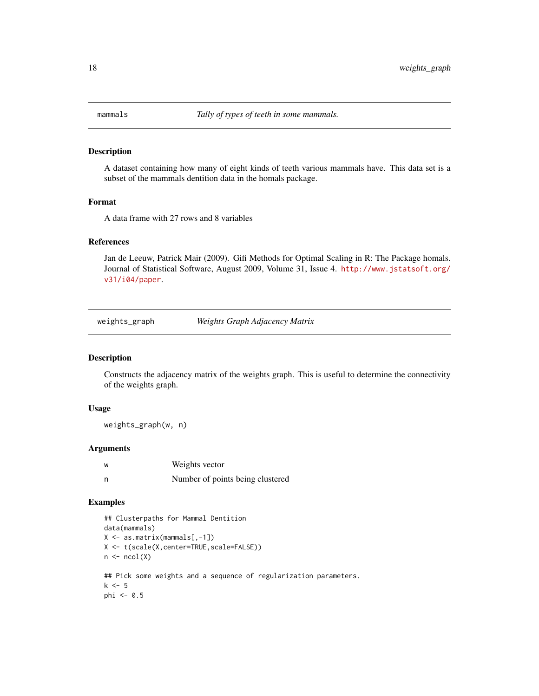<span id="page-17-0"></span>

A dataset containing how many of eight kinds of teeth various mammals have. This data set is a subset of the mammals dentition data in the homals package.

#### Format

A data frame with 27 rows and 8 variables

# References

Jan de Leeuw, Patrick Mair (2009). Gifi Methods for Optimal Scaling in R: The Package homals. Journal of Statistical Software, August 2009, Volume 31, Issue 4. [http://www.jstatsoft.org/](http://www.jstatsoft.org/v31/i04/paper) [v31/i04/paper](http://www.jstatsoft.org/v31/i04/paper).

weights\_graph *Weights Graph Adjacency Matrix*

# Description

Constructs the adjacency matrix of the weights graph. This is useful to determine the connectivity of the weights graph.

#### Usage

weights\_graph(w, n)

# Arguments

| ่พ | Weights vector                   |
|----|----------------------------------|
| n  | Number of points being clustered |

```
## Clusterpaths for Mammal Dentition
data(mammals)
X <- as.matrix(mammals[,-1])
X <- t(scale(X,center=TRUE,scale=FALSE))
n \leftarrow \text{ncol}(X)## Pick some weights and a sequence of regularization parameters.
k \leq -5phi <- 0.5
```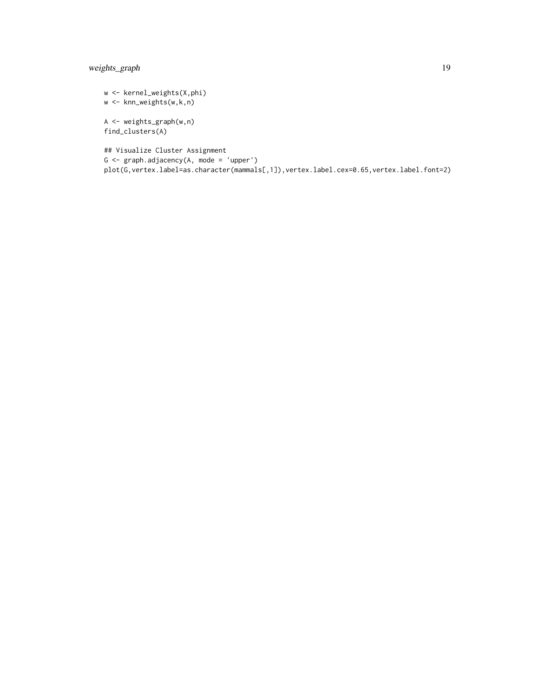# weights\_graph 19

w <- kernel\_weights(X,phi) w <- knn\_weights(w,k,n) A <- weights\_graph(w,n) find\_clusters(A) ## Visualize Cluster Assignment G <- graph.adjacency(A, mode = 'upper') plot(G,vertex.label=as.character(mammals[,1]),vertex.label.cex=0.65,vertex.label.font=2)